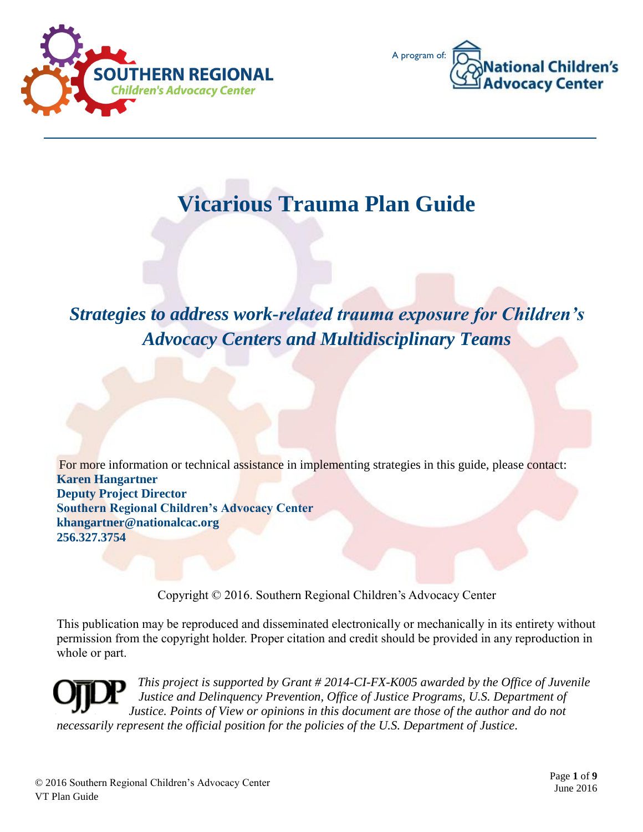



# **Vicarious Trauma Plan Guide**

# *Strategies to address work-related trauma exposure for Children's Advocacy Centers and Multidisciplinary Teams*

For more information or technical assistance in implementing strategies in this guide, please contact: **Karen Hangartner Deputy Project Director Southern Regional Children's Advocacy Center khangartner@nationalcac.org 256.327.3754**

Copyright © 2016. Southern Regional Children's Advocacy Center

This publication may be reproduced and disseminated electronically or mechanically in its entirety without permission from the copyright holder. Proper citation and credit should be provided in any reproduction in whole or part.

*This project is supported by Grant # 2014-CI-FX-K005 awarded by the Office of Juvenile Justice and Delinquency Prevention, Office of Justice Programs, U.S. Department of Justice. Points of View or opinions in this document are those of the author and do not necessarily represent the official position for the policies of the U.S. Department of Justice.*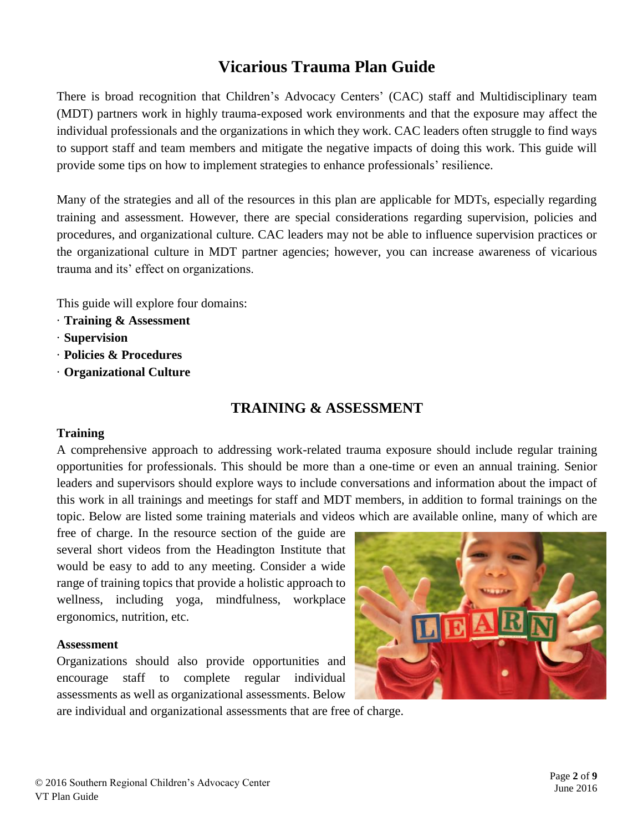# **Vicarious Trauma Plan Guide**

There is broad recognition that Children's Advocacy Centers' (CAC) staff and Multidisciplinary team (MDT) partners work in highly trauma-exposed work environments and that the exposure may affect the individual professionals and the organizations in which they work. CAC leaders often struggle to find ways to support staff and team members and mitigate the negative impacts of doing this work. This guide will provide some tips on how to implement strategies to enhance professionals' resilience.

Many of the strategies and all of the resources in this plan are applicable for MDTs, especially regarding training and assessment. However, there are special considerations regarding supervision, policies and procedures, and organizational culture. CAC leaders may not be able to influence supervision practices or the organizational culture in MDT partner agencies; however, you can increase awareness of vicarious trauma and its' effect on organizations.

This guide will explore four domains:

- · **Training & Assessment**
- · **Supervision**
- · **Policies & Procedures**
- · **Organizational Culture**

#### **TRAINING & ASSESSMENT**

#### **Training**

A comprehensive approach to addressing work-related trauma exposure should include regular training opportunities for professionals. This should be more than a one-time or even an annual training. Senior leaders and supervisors should explore ways to include conversations and information about the impact of this work in all trainings and meetings for staff and MDT members, in addition to formal trainings on the topic. Below are listed some training materials and videos which are available online, many of which are

free of charge. In the resource section of the guide are several short videos from the Headington Institute that would be easy to add to any meeting. Consider a wide range of training topics that provide a holistic approach to wellness, including yoga, mindfulness, workplace ergonomics, nutrition, etc.

#### **Assessment**

Organizations should also provide opportunities and encourage staff to complete regular individual assessments as well as organizational assessments. Below



are individual and organizational assessments that are free of charge.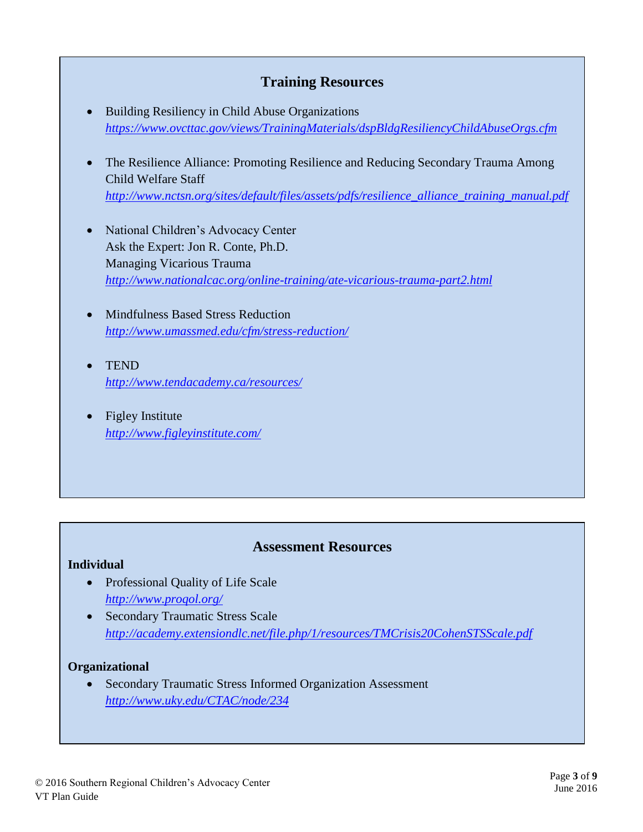## **Training Resources**

- Building Resiliency in Child Abuse Organizations *<https://www.ovcttac.gov/views/TrainingMaterials/dspBldgResiliencyChildAbuseOrgs.cfm>*
- The Resilience Alliance: Promoting Resilience and Reducing Secondary Trauma Among Child Welfare Staff *[http://www.nctsn.org/sites/default/files/assets/pdfs/resilience\\_alliance\\_training\\_manual.pdf](http://www.nctsn.org/sites/default/files/assets/pdfs/resilience_alliance_training_manual.pdf)*
- National Children's Advocacy Center Ask the Expert: Jon R. Conte, Ph.D. Managing Vicarious Trauma *<http://www.nationalcac.org/online-training/ate-vicarious-trauma-part2.html>*
- Mindfulness Based Stress Reduction *<http://www.umassmed.edu/cfm/stress-reduction/>*
- **TEND** *<http://www.tendacademy.ca/resources/>*
- Figley Institute *<http://www.figleyinstitute.com/>*

### **Assessment Resources**

#### **Individual**

- Professional Quality of Life Scale *<http://www.proqol.org/>*
- Secondary Traumatic Stress Scale *<http://academy.extensiondlc.net/file.php/1/resources/TMCrisis20CohenSTSScale.pdf>*

#### **Organizational**

 Secondary Traumatic Stress Informed Organization Assessment *<http://www.uky.edu/CTAC/node/234>*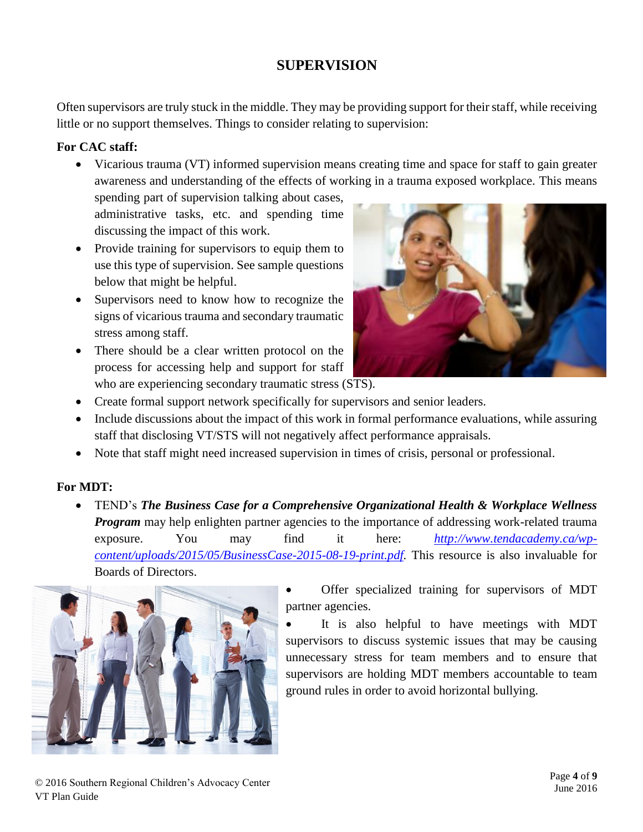# **SUPERVISION**

Often supervisors are truly stuck in the middle. They may be providing support for their staff, while receiving little or no support themselves. Things to consider relating to supervision:

#### **For CAC staff:**

 Vicarious trauma (VT) informed supervision means creating time and space for staff to gain greater awareness and understanding of the effects of working in a trauma exposed workplace. This means

spending part of supervision talking about cases, administrative tasks, etc. and spending time discussing the impact of this work.

- Provide training for supervisors to equip them to use this type of supervision. See sample questions below that might be helpful.
- Supervisors need to know how to recognize the signs of vicarious trauma and secondary traumatic stress among staff.
- There should be a clear written protocol on the process for accessing help and support for staff who are experiencing secondary traumatic stress (STS).



- Create formal support network specifically for supervisors and senior leaders.
- Include discussions about the impact of this work in formal performance evaluations, while assuring staff that disclosing VT/STS will not negatively affect performance appraisals.
- Note that staff might need increased supervision in times of crisis, personal or professional.

#### **For MDT:**

 TEND's *The Business Case for a Comprehensive Organizational Health & Workplace Wellness Program* may help enlighten partner agencies to the importance of addressing work-related trauma exposure. You may find it here: *[http://www.tendacademy.ca/wp](http://www.tendacademy.ca/wp-content/uploads/2015/05/BusinessCase-2015-08-19-print.pdf)[content/uploads/2015/05/BusinessCase-2015-08-19-print.pdf.](http://www.tendacademy.ca/wp-content/uploads/2015/05/BusinessCase-2015-08-19-print.pdf)* This resource is also invaluable for Boards of Directors.



 Offer specialized training for supervisors of MDT partner agencies.

 It is also helpful to have meetings with MDT supervisors to discuss systemic issues that may be causing unnecessary stress for team members and to ensure that supervisors are holding MDT members accountable to team ground rules in order to avoid horizontal bullying.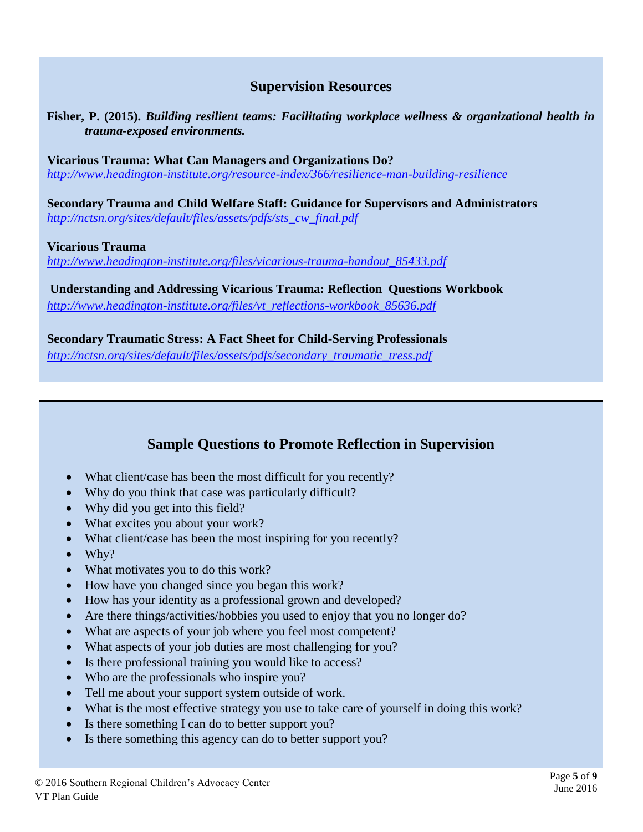## **Supervision Resources**

**Fisher, P. (2015).** *Building resilient teams: Facilitating workplace wellness & organizational health in trauma-exposed environments.*

**Vicarious Trauma: What Can Managers and Organizations Do?**  *<http://www.headington-institute.org/resource-index/366/resilience-man-building-resilience>*

**Secondary Trauma and Child Welfare Staff: Guidance for Supervisors and Administrators** *[http://nctsn.org/sites/default/files/assets/pdfs/sts\\_cw\\_final.pdf](http://nctsn.org/sites/default/files/assets/pdfs/sts_cw_final.pdf)*

#### **Vicarious Trauma**

*[http://www.headington-institute.org/files/vicarious-trauma-handout\\_85433.pdf](http://www.headington-institute.org/files/vicarious-trauma-handout_85433.pdf)*

**Understanding and Addressing Vicarious Trauma: Reflection Questions Workbook** *[http://www.headington-institute.org/files/vt\\_reflections-workbook\\_85636.pdf](http://www.headington-institute.org/files/vt_reflections-workbook_85636.pdf)*

**Secondary Traumatic Stress: A Fact Sheet for Child-Serving Professionals** *[http://nctsn.org/sites/default/files/assets/pdfs/secondary\\_traumatic\\_tress.pdf](http://nctsn.org/sites/default/files/assets/pdfs/secondary_traumatic_tress.pdf)*

## **Sample Questions to Promote Reflection in Supervision**

- What client/case has been the most difficult for you recently?
- Why do you think that case was particularly difficult?
- Why did you get into this field?
- What excites you about your work?
- What client/case has been the most inspiring for you recently?
- $\bullet$  Why?
- What motivates you to do this work?
- How have you changed since you began this work?
- How has your identity as a professional grown and developed?
- Are there things/activities/hobbies you used to enjoy that you no longer do?
- What are aspects of your job where you feel most competent?
- What aspects of your job duties are most challenging for you?
- Is there professional training you would like to access?
- Who are the professionals who inspire you?
- Tell me about your support system outside of work.
- What is the most effective strategy you use to take care of yourself in doing this work?
- Is there something I can do to better support you?
- Is there something this agency can do to better support you?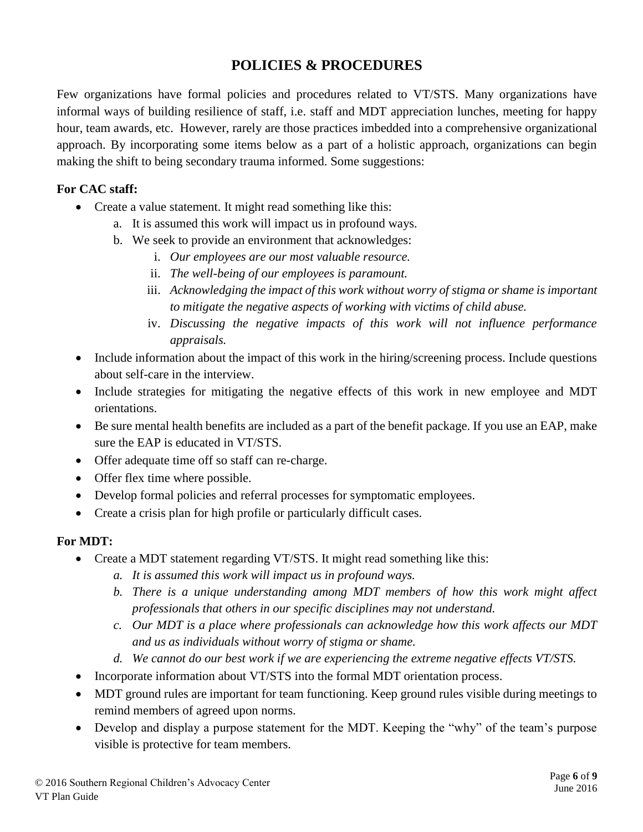# **POLICIES & PROCEDURES**

Few organizations have formal policies and procedures related to VT/STS. Many organizations have informal ways of building resilience of staff, i.e. staff and MDT appreciation lunches, meeting for happy hour, team awards, etc. However, rarely are those practices imbedded into a comprehensive organizational approach. By incorporating some items below as a part of a holistic approach, organizations can begin making the shift to being secondary trauma informed. Some suggestions:

#### **For CAC staff:**

- Create a value statement. It might read something like this:
	- a. It is assumed this work will impact us in profound ways.
	- b. We seek to provide an environment that acknowledges:
		- i. *Our employees are our most valuable resource.*
		- ii. *The well-being of our employees is paramount.*
		- iii. *Acknowledging the impact of this work without worry of stigma or shame is important to mitigate the negative aspects of working with victims of child abuse.*
		- iv. *Discussing the negative impacts of this work will not influence performance appraisals.*
- Include information about the impact of this work in the hiring/screening process. Include questions about self-care in the interview.
- Include strategies for mitigating the negative effects of this work in new employee and MDT orientations.
- Be sure mental health benefits are included as a part of the benefit package. If you use an EAP, make sure the EAP is educated in VT/STS.
- Offer adequate time off so staff can re-charge.
- Offer flex time where possible.
- Develop formal policies and referral processes for symptomatic employees.
- Create a crisis plan for high profile or particularly difficult cases.

#### **For MDT:**

- Create a MDT statement regarding VT/STS. It might read something like this:
	- *a. It is assumed this work will impact us in profound ways.*
	- *b. There is a unique understanding among MDT members of how this work might affect professionals that others in our specific disciplines may not understand.*
	- *c. Our MDT is a place where professionals can acknowledge how this work affects our MDT and us as individuals without worry of stigma or shame.*
	- *d. We cannot do our best work if we are experiencing the extreme negative effects VT/STS.*
- Incorporate information about VT/STS into the formal MDT orientation process.
- MDT ground rules are important for team functioning. Keep ground rules visible during meetings to remind members of agreed upon norms.
- Develop and display a purpose statement for the MDT. Keeping the "why" of the team's purpose visible is protective for team members.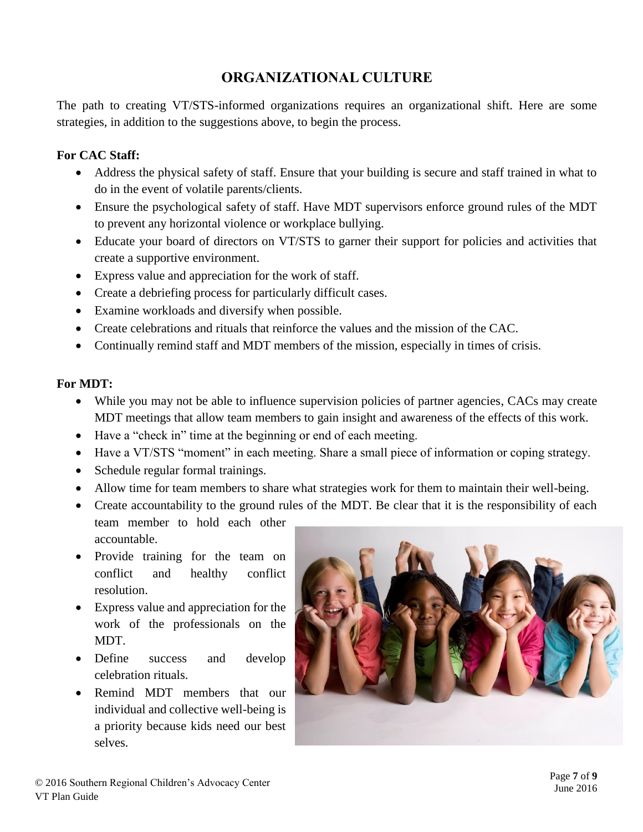## **ORGANIZATIONAL CULTURE**

The path to creating VT/STS-informed organizations requires an organizational shift. Here are some strategies, in addition to the suggestions above, to begin the process.

#### **For CAC Staff:**

- Address the physical safety of staff. Ensure that your building is secure and staff trained in what to do in the event of volatile parents/clients.
- Ensure the psychological safety of staff. Have MDT supervisors enforce ground rules of the MDT to prevent any horizontal violence or workplace bullying.
- Educate your board of directors on VT/STS to garner their support for policies and activities that create a supportive environment.
- Express value and appreciation for the work of staff.
- Create a debriefing process for particularly difficult cases.
- Examine workloads and diversify when possible.
- Create celebrations and rituals that reinforce the values and the mission of the CAC.
- Continually remind staff and MDT members of the mission, especially in times of crisis.

#### **For MDT:**

- While you may not be able to influence supervision policies of partner agencies, CACs may create MDT meetings that allow team members to gain insight and awareness of the effects of this work.
- Have a "check in" time at the beginning or end of each meeting.
- Have a VT/STS "moment" in each meeting. Share a small piece of information or coping strategy.
- Schedule regular formal trainings.
- Allow time for team members to share what strategies work for them to maintain their well-being.
- Create accountability to the ground rules of the MDT. Be clear that it is the responsibility of each
- team member to hold each other accountable.
- Provide training for the team on conflict and healthy conflict resolution.
- Express value and appreciation for the work of the professionals on the MDT.
- Define success and develop celebration rituals.
- Remind MDT members that our individual and collective well-being is a priority because kids need our best selves.

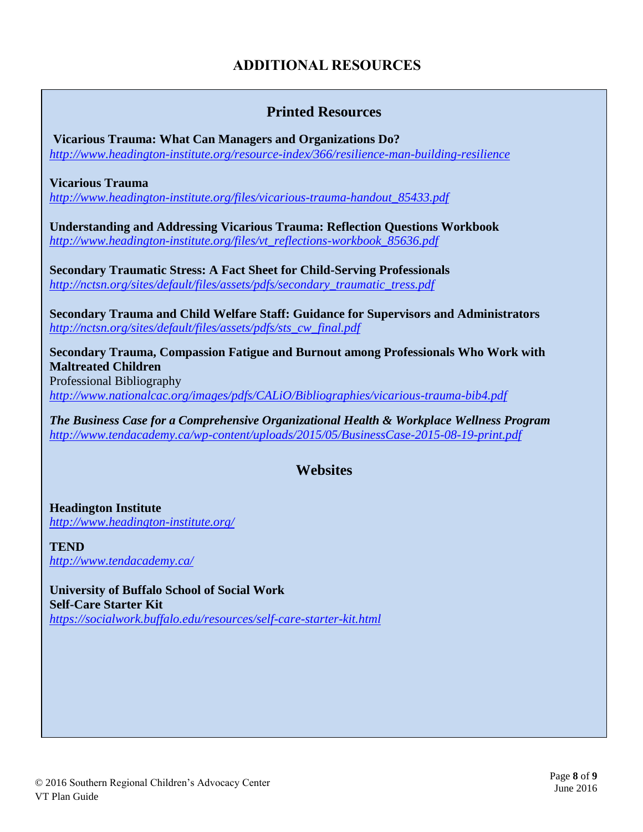# **ADDITIONAL RESOURCES**

## **Printed Resources**

**Vicarious Trauma: What Can Managers and Organizations Do?**  *<http://www.headington-institute.org/resource-index/366/resilience-man-building-resilience>*

**Vicarious Trauma**

*[http://www.headington-institute.org/files/vicarious-trauma-handout\\_85433.pdf](http://www.headington-institute.org/files/vicarious-trauma-handout_85433.pdf)*

**Understanding and Addressing Vicarious Trauma: Reflection Questions Workbook** *[http://www.headington-institute.org/files/vt\\_reflections-workbook\\_85636.pdf](http://www.headington-institute.org/files/vt_reflections-workbook_85636.pdf)*

**Secondary Traumatic Stress: A Fact Sheet for Child-Serving Professionals** *[http://nctsn.org/sites/default/files/assets/pdfs/secondary\\_traumatic\\_tress.pdf](http://nctsn.org/sites/default/files/assets/pdfs/secondary_traumatic_tress.pdf)*

**Secondary Trauma and Child Welfare Staff: Guidance for Supervisors and Administrators** *[http://nctsn.org/sites/default/files/assets/pdfs/sts\\_cw\\_final.pdf](http://nctsn.org/sites/default/files/assets/pdfs/sts_cw_final.pdf)*

**Secondary Trauma, Compassion Fatigue and Burnout among Professionals Who Work with Maltreated Children**

Professional Bibliography *<http://www.nationalcac.org/images/pdfs/CALiO/Bibliographies/vicarious-trauma-bib4.pdf>*

*The Business Case for a Comprehensive Organizational Health & Workplace Wellness Program <http://www.tendacademy.ca/wp-content/uploads/2015/05/BusinessCase-2015-08-19-print.pdf>*

# **Websites**

**Headington Institute** *<http://www.headington-institute.org/>*

**TEND** *<http://www.tendacademy.ca/>*

**University of Buffalo School of Social Work Self-Care Starter Kit** *<https://socialwork.buffalo.edu/resources/self-care-starter-kit.html>*